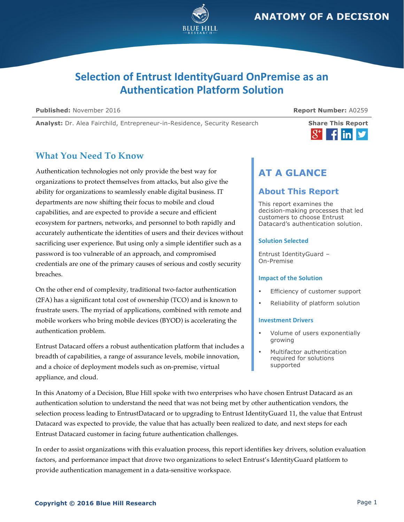

# **Selection of Entrust IdentityGuard OnPremise as an Authentication Platform Solution**

**Published:** November 2016 **Report Number:** A0259

Analyst: Dr. Alea Fairchild, Entrepreneur-in-Residence, Security Research **Share This Report** 

# <u>in</u>

## **What You Need To Know**

Authentication technologies not only provide the best way for organizations to protect themselves from attacks, but also give the ability for organizations to seamlessly enable digital business. IT departments are now shifting their focus to mobile and cloud capabilities, and are expected to provide a secure and efficient ecosystem for partners, networks, and personnel to both rapidly and accurately authenticate the identities of users and their devices without sacrificing user experience. But using only a simple identifier such as a password is too vulnerable of an approach, and compromised credentials are one of the primary causes of serious and costly security breaches.

On the other end of complexity, traditional two-factor authentication (2FA) has a significant total cost of ownership (TCO) and is known to frustrate users. The myriad of applications, combined with remote and mobile workers who bring mobile devices (BYOD) is accelerating the authentication problem.

Entrust Datacard offers a robust authentication platform that includes a breadth of capabilities, a range of assurance levels, mobile innovation, and a choice of deployment models such as on-premise, virtual appliance, and cloud.

# **AT A GLANCE**

### **About This Report**

This report examines the decision-making processes that led customers to choose Entrust Datacard's authentication solution.

### **Solution Selected**

Entrust IdentityGuard – On-Premise

#### **Impact of the Solution**

- Efficiency of customer support
- Reliability of platform solution

#### **Investment Drivers**

- Volume of users exponentially growing
- Multifactor authentication required for solutions supported

In this Anatomy of a Decision, Blue Hill spoke with two enterprises who have chosen Entrust Datacard as an authentication solution to understand the need that was not being met by other authentication vendors, the selection process leading to EntrustDatacard or to upgrading to Entrust IdentityGuard 11, the value that Entrust Datacard was expected to provide, the value that has actually been realized to date, and next steps for each Entrust Datacard customer in facing future authentication challenges.

In order to assist organizations with this evaluation process, this report identifies key drivers, solution evaluation factors, and performance impact that drove two organizations to select Entrust's IdentityGuard platform to provide authentication management in a data-sensitive workspace.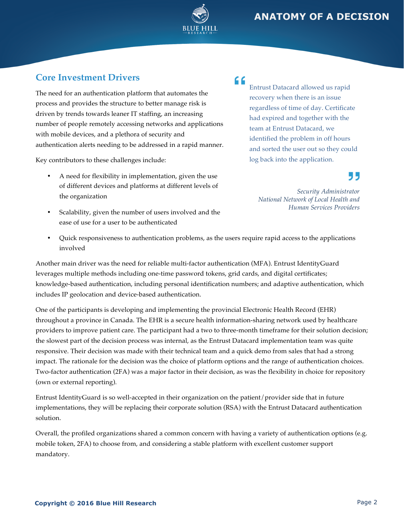

# **Core Investment Drivers**

The need for an authentication platform that automates the process and provides the structure to better manage risk is driven by trends towards leaner IT staffing, an increasing number of people remotely accessing networks and applications with mobile devices, and a plethora of security and authentication alerts needing to be addressed in a rapid manner.

Key contributors to these challenges include:

- A need for flexibility in implementation, given the use of different devices and platforms at different levels of the organization
- Scalability, given the number of users involved and the ease of use for a user to be authenticated

### "

Entrust Datacard allowed us rapid recovery when there is an issue regardless of time of day. Certificate had expired and together with the team at Entrust Datacard, we identified the problem in off hours and sorted the user out so they could log back into the application.

# 55

*Security Administrator National Network of Local Health and Human Services Providers* 

• Quick responsiveness to authentication problems, as the users require rapid access to the applications involved

Another main driver was the need for reliable multi-factor authentication (MFA). Entrust IdentityGuard leverages multiple methods including one-time password tokens, grid cards, and digital certificates; knowledge-based authentication, including personal identification numbers; and adaptive authentication, which includes IP geolocation and device-based authentication.

One of the participants is developing and implementing the provincial Electronic Health Record (EHR) throughout a province in Canada. The EHR is a secure health information-sharing network used by healthcare providers to improve patient care. The participant had a two to three-month timeframe for their solution decision; the slowest part of the decision process was internal, as the Entrust Datacard implementation team was quite responsive. Their decision was made with their technical team and a quick demo from sales that had a strong impact. The rationale for the decision was the choice of platform options and the range of authentication choices. Two-factor authentication (2FA) was a major factor in their decision, as was the flexibility in choice for repository (own or external reporting).

Entrust IdentityGuard is so well-accepted in their organization on the patient/provider side that in future implementations, they will be replacing their corporate solution (RSA) with the Entrust Datacard authentication solution.

Overall, the profiled organizations shared a common concern with having a variety of authentication options (e.g. mobile token, 2FA) to choose from, and considering a stable platform with excellent customer support mandatory.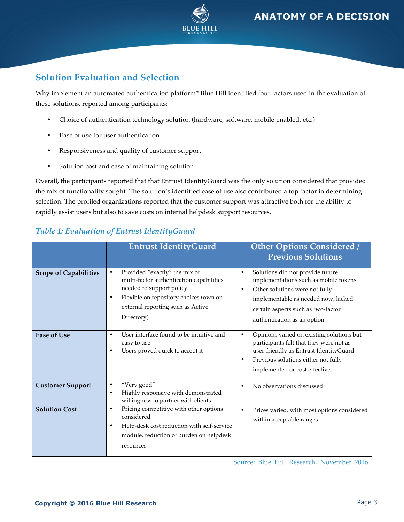

# **Solution Evaluation and Selection**

Why implement an automated authentication platform? Blue Hill identified four factors used in the evaluation of these solutions, reported among participants:

- Choice of authentication technology solution (hardware, software, mobile-enabled, etc.)
- Ease of use for user authentication
- Responsiveness and quality of customer support
- Solution cost and ease of maintaining solution

Overall, the participants reported that that Entrust IdentityGuard was the only solution considered that provided the mix of functionality sought. The solution's identified ease of use also contributed a top factor in determining selection. The profiled organizations reported that the customer support was attractive both for the ability to rapidly assist users but also to save costs on internal helpdesk support resources.

|                              | <b>Entrust IdentityGuard</b>                                                                                                                                                                                                 | <b>Other Options Considered /</b><br><b>Previous Solutions</b>                                                                                                                                                                                    |
|------------------------------|------------------------------------------------------------------------------------------------------------------------------------------------------------------------------------------------------------------------------|---------------------------------------------------------------------------------------------------------------------------------------------------------------------------------------------------------------------------------------------------|
| <b>Scope of Capabilities</b> | Provided "exactly" the mix of<br>$\bullet$<br>multi-factor authentication capabilities<br>needed to support policy<br>Flexible on repository choices (own or<br>$\bullet$<br>external reporting such as Active<br>Directory) | Solutions did not provide future<br>$\bullet$<br>implementations such as mobile tokens<br>Other solutions were not fully<br>$\bullet$<br>implementable as needed now, lacked<br>certain aspects such as two-factor<br>authentication as an option |
| <b>Ease of Use</b>           | User interface found to be intuitive and<br>$\bullet$<br>easy to use<br>Users proved quick to accept it<br>$\bullet$                                                                                                         | Opinions varied on existing solutions but<br>$\bullet$<br>participants felt that they were not as<br>user-friendly as Entrust IdentityGuard<br>Previous solutions either not fully<br>$\bullet$<br>implemented or cost effective                  |
| <b>Customer Support</b>      | "Very good"<br>$\bullet$<br>Highly responsive with demonstrated<br>$\bullet$<br>willingness to partner with clients                                                                                                          | No observations discussed<br>$\bullet$                                                                                                                                                                                                            |
| <b>Solution Cost</b>         | Pricing competitive with other options<br>$\bullet$<br>considered<br>Help-desk cost reduction with self-service<br>$\bullet$<br>module, reduction of burden on helpdesk<br>resources                                         | Prices varied, with most options considered<br>$\bullet$<br>within acceptable ranges                                                                                                                                                              |

### *Table 1: Evaluation of Entrust IdentityGuard*

Source: Blue Hill Research, November 2016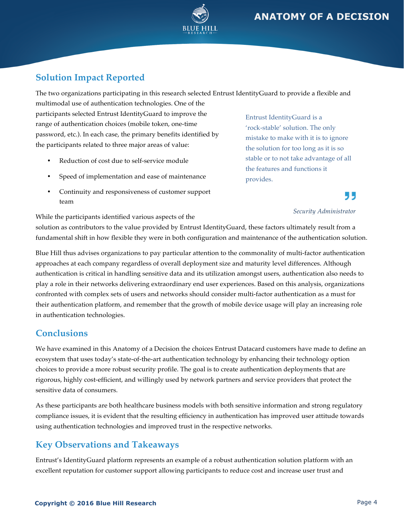



# **Solution Impact Reported**

The two organizations participating in this research selected Entrust IdentityGuard to provide a flexible and

multimodal use of authentication technologies. One of the participants selected Entrust IdentityGuard to improve the range of authentication choices (mobile token, one-time password, etc.). In each case, the primary benefits identified by the participants related to three major areas of value:

- Reduction of cost due to self-service module
- Speed of implementation and ease of maintenance
- Continuity and responsiveness of customer support team

Entrust IdentityGuard is a 'rock-stable' solution. The only mistake to make with it is to ignore the solution for too long as it is so stable or to not take advantage of all the features and functions it provides.

#### *Security Administrator*

55

While the participants identified various aspects of the

solution as contributors to the value provided by Entrust IdentityGuard, these factors ultimately result from a fundamental shift in how flexible they were in both configuration and maintenance of the authentication solution.

Blue Hill thus advises organizations to pay particular attention to the commonality of multi-factor authentication approaches at each company regardless of overall deployment size and maturity level differences. Although authentication is critical in handling sensitive data and its utilization amongst users, authentication also needs to play a role in their networks delivering extraordinary end user experiences. Based on this analysis, organizations confronted with complex sets of users and networks should consider multi-factor authentication as a must for their authentication platform, and remember that the growth of mobile device usage will play an increasing role in authentication technologies.

### **Conclusions**

We have examined in this Anatomy of a Decision the choices Entrust Datacard customers have made to define an ecosystem that uses today's state-of-the-art authentication technology by enhancing their technology option choices to provide a more robust security profile. The goal is to create authentication deployments that are rigorous, highly cost-efficient, and willingly used by network partners and service providers that protect the sensitive data of consumers.

As these participants are both healthcare business models with both sensitive information and strong regulatory compliance issues, it is evident that the resulting efficiency in authentication has improved user attitude towards using authentication technologies and improved trust in the respective networks.

# **Key Observations and Takeaways**

Entrust's IdentityGuard platform represents an example of a robust authentication solution platform with an excellent reputation for customer support allowing participants to reduce cost and increase user trust and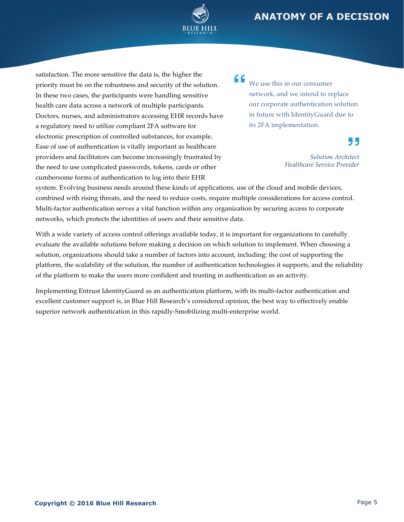

satisfaction. The more sensitive the data is, the higher the priority must be on the robustness and security of the solution. In these two cases, the participants were handling sensitive health care data across a network of multiple participants. Doctors, nurses, and administrators accessing EHR records have a regulatory need to utilize compliant 2FA software for electronic prescription of controlled substances, for example. Ease of use of authentication is vitally important as healthcare providers and facilitators can become increasingly frustrated by the need to use complicated passwords, tokens, cards or other cumbersome forms of authentication to log into their EHR

" We use this in our consumer network, and we intend to replace our corporate authentication solution in future with IdentityGuard due to its 2FA implementation.

"

*Solution Architect Healthcare Service Provider*

system. Evolving business needs around these kinds of applications, use of the cloud and mobile devices, combined with rising threats, and the need to reduce costs, require multiple considerations for access control. Multi-factor authentication serves a vital function within any organization by securing access to corporate networks, which protects the identities of users and their sensitive data.

With a wide variety of access control offerings available today, it is important for organizations to carefully evaluate the available solutions before making a decision on which solution to implement. When choosing a solution, organizations should take a number of factors into account, including: the cost of supporting the platform, the scalability of the solution, the number of authentication technologies it supports, and the reliability of the platform to make the users more confident and trusting in authentication as an activity.

Implementing Entrust IdentityGuard as an authentication platform, with its multi-factor authentication and excellent customer support is, in Blue Hill Research's considered opinion, the best way to effectively enable superior network authentication in this rapidly-Smobilizing multi-enterprise world.